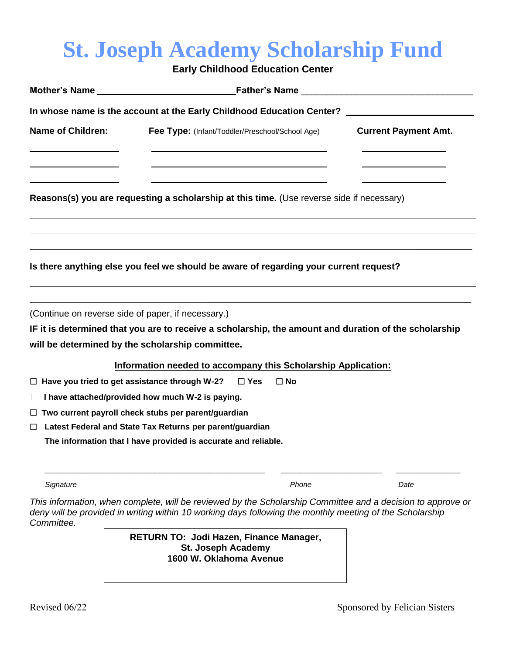## **St. Joseph Academy Scholarship Fund**

**Early Childhood Education Center**

|                          | Mother's Name <b>Mother's Name</b> Father's Name <b>Mother's Name Mother's Name Mother's</b> Name <b>Mother's</b> Name <b>Mother's</b> Name <b>Mother's</b> Name <b>Mother's</b> Name <b>Mother's</b> Name <b>Mother's</b> Name <b>Mother's</b> Name <b>Mother's</b> Name <b>M</b> |                             |  |  |
|--------------------------|------------------------------------------------------------------------------------------------------------------------------------------------------------------------------------------------------------------------------------------------------------------------------------|-----------------------------|--|--|
|                          | In whose name is the account at the Early Childhood Education Center?                                                                                                                                                                                                              |                             |  |  |
| <b>Name of Children:</b> | Fee Type: (Infant/Toddler/Preschool/School Age)                                                                                                                                                                                                                                    | <b>Current Payment Amt.</b> |  |  |
|                          | Reasons(s) you are requesting a scholarship at this time. (Use reverse side if necessary)                                                                                                                                                                                          |                             |  |  |
|                          | Is there anything else you feel we should be aware of regarding your current request? ___________                                                                                                                                                                                  |                             |  |  |
|                          | (Continue on reverse side of paper, if necessary.)                                                                                                                                                                                                                                 |                             |  |  |
|                          | IF it is determined that you are to receive a scholarship, the amount and duration of the scholarship<br>will be determined by the scholarship committee.                                                                                                                          |                             |  |  |
|                          | Information needed to accompany this Scholarship Application:                                                                                                                                                                                                                      |                             |  |  |
|                          | $\Box$ Have you tried to get assistance through W-2?<br>$\Box$ Yes<br>$\Box$ No                                                                                                                                                                                                    |                             |  |  |
| $\Box$                   | I have attached/provided how much W-2 is paying.                                                                                                                                                                                                                                   |                             |  |  |
|                          | $\Box$ Two current payroll check stubs per parent/guardian                                                                                                                                                                                                                         |                             |  |  |
|                          | □ Latest Federal and State Tax Returns per parent/guardian                                                                                                                                                                                                                         |                             |  |  |
|                          | The information that I have provided is accurate and reliable.                                                                                                                                                                                                                     |                             |  |  |
| Signature                | Phone                                                                                                                                                                                                                                                                              | Date                        |  |  |
|                          | This information, when complete, will be reviewed by the Scholarship Committee and a decision to approve or                                                                                                                                                                        |                             |  |  |

*deny will be provided in writing within 10 working days following the monthly meeting of the Scholarship Committee.*

> **RETURN TO: Jodi Hazen, Finance Manager, St. Joseph Academy 1600 W. Oklahoma Avenue**